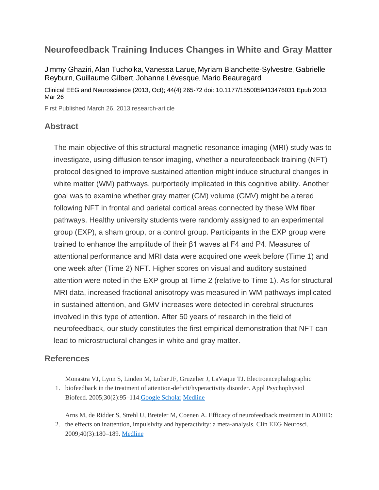## **Neurofeedback Training Induces Changes in White and Gray Matter**

[Jimmy Ghaziri](http://journals.sagepub.com/author/Ghaziri%2C+Jimmy), [Alan Tucholka](http://journals.sagepub.com/author/Tucholka%2C+Alan), [Vanessa Larue](http://journals.sagepub.com/author/Larue%2C+Vanessa), [Myriam Blanchette-Sylvestre](http://journals.sagepub.com/author/Blanchette-Sylvestre%2C+Myriam), [Gabrielle](http://journals.sagepub.com/author/Reyburn%2C+Gabrielle)  [Reyburn](http://journals.sagepub.com/author/Reyburn%2C+Gabrielle), [Guillaume Gilbert](http://journals.sagepub.com/author/Gilbert%2C+Guillaume), [Johanne Lévesque](http://journals.sagepub.com/author/L%C3%A9vesque%2C+Johanne), [Mario Beauregard](http://journals.sagepub.com/author/Beauregard%2C+Mario)

Clinical EEG and Neuroscience (2013, Oct); 44(4) 265-72 doi: 10.1177/1550059413476031 Epub 2013 Mar 26

First Published March 26, 2013 research-article

## **Abstract**

The main objective of this structural magnetic resonance imaging (MRI) study was to investigate, using diffusion tensor imaging, whether a neurofeedback training (NFT) protocol designed to improve sustained attention might induce structural changes in white matter (WM) pathways, purportedly implicated in this cognitive ability. Another goal was to examine whether gray matter (GM) volume (GMV) might be altered following NFT in frontal and parietal cortical areas connected by these WM fiber pathways. Healthy university students were randomly assigned to an experimental group (EXP), a sham group, or a control group. Participants in the EXP group were trained to enhance the amplitude of their β1 waves at F4 and P4. Measures of attentional performance and MRI data were acquired one week before (Time 1) and one week after (Time 2) NFT. Higher scores on visual and auditory sustained attention were noted in the EXP group at Time 2 (relative to Time 1). As for structural MRI data, increased fractional anisotropy was measured in WM pathways implicated in sustained attention, and GMV increases were detected in cerebral structures involved in this type of attention. After 50 years of research in the field of neurofeedback, our study constitutes the first empirical demonstration that NFT can lead to microstructural changes in white and gray matter.

## **References**

Monastra VJ, Lynn S, Linden M, Lubar JF, Gruzelier J, LaVaque TJ. Electroencephalographic

1. biofeedback in the treatment of attention-deficit/hyperactivity disorder. Appl Psychophysiol Biofeed. 2005;30(2):95–114[.Google Scholar](http://scholar.google.com/scholar_lookup?publication_year=2005&pages=95-114&issue=2&author=VJ+Monastra&author=S+Lynn&author=M+Linden&author=JF+Lubar&author=J+Gruzelier&author=TJ+LaVaque&title=Electroencephalographic+biofeedback+in+the+treatment+of+attention-deficit/hyperactivity+disorder&) [Medline](http://journals.sagepub.com/servlet/linkout?suffix=bibr1-1550059413476031&dbid=8&doi=10.1177%2F1550059413476031&key=16013783)

Arns M, de Ridder S, Strehl U, Breteler M, Coenen A. Efficacy of neurofeedback treatment in ADHD:

2. the effects on inattention, impulsivity and hyperactivity: a meta-analysis. Clin EEG Neurosci. 2009;40(3):180–189. [Medline](http://journals.sagepub.com/servlet/linkout?suffix=bibr2-1550059413476031&dbid=8&doi=10.1177%2F1550059413476031&key=19715181)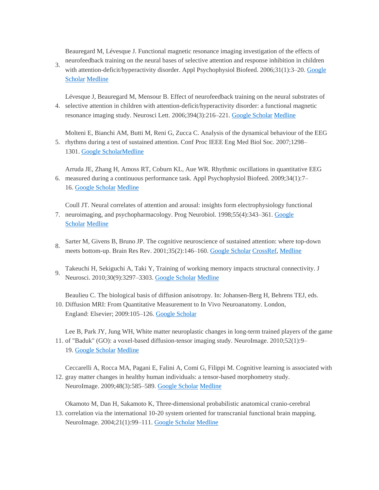Beauregard M, Lévesque J. Functional magnetic resonance imaging investigation of the effects of neurofeedback training on the neural bases of selective attention and response inhibition in children

3. with attention-deficit/hyperactivity disorder. Appl Psychophysiol Biofeed. 2006;31(1):3–20. Google [Scholar](http://scholar.google.com/scholar_lookup?publication_year=2006&pages=3-20&issue=1&author=M+Beauregard&author=J+L%C3%A9vesque&title=Functional+magnetic+resonance+imaging+investigation+of+the+effects+of+neurofeedback+training+on+the+neural+bases+of+selective+attention+and+response+inhibition+in+children+with+attention-deficit/hyperactivity+disorder&) [Medline](http://journals.sagepub.com/servlet/linkout?suffix=bibr3-1550059413476031&dbid=8&doi=10.1177%2F1550059413476031&key=16552626)

4. selective attention in children with attention-deficit/hyperactivity disorder: a functional magnetic Lévesque J, Beauregard M, Mensour B. Effect of neurofeedback training on the neural substrates of resonance imaging study. Neurosci Lett. 2006;394(3):216–221. [Google Scholar](http://scholar.google.com/scholar_lookup?publication_year=2006&pages=216-221&issue=3&author=J+L%C3%A9vesque&author=M+Beauregard&author=B+Mensour&title=Effect+of+neurofeedback+training+on+the+neural+substrates+of+selective+attention+in+children+with+attention-deficit/hyperactivity+disorder:+a+functional+magnetic+resonance+imaging+study&) [Medline](http://journals.sagepub.com/servlet/linkout?suffix=bibr4-1550059413476031&dbid=8&doi=10.1177%2F1550059413476031&key=16343769)

Molteni E, Bianchi AM, Butti M, Reni G, Zucca C. Analysis of the dynamical behaviour of the EEG

5. rhythms during a test of sustained attention. Conf Proc IEEE Eng Med Biol Soc. 2007;1298– 1301. [Google ScholarMedline](http://scholar.google.com/scholar_lookup?publication_year=2007&pages=1298-1301&author=E+Molteni&author=AM+Bianchi&author=M+Butti&author=G+Reni&author=C.+Zucca&title=Analysis+of+the+dynamical+behaviour+of+the+EEG+rhythms+during+a+test+of+sustained+attention&)

Arruda JE, Zhang H, Amoss RT, Coburn KL, Aue WR. Rhythmic oscillations in quantitative EEG

6. measured during a continuous performance task. Appl Psychophysiol Biofeed. 2009;34(1):7– 16. [Google Scholar](http://scholar.google.com/scholar_lookup?publication_year=2009&pages=7-16&issue=1&author=JE+Arruda&author=H+Zhang&author=RT+Amoss&author=KL+Coburn&author=WR+Aue&title=Rhythmic+oscillations+in+quantitative+EEG+measured+during+a+continuous+performance+task&) [Medline](http://journals.sagepub.com/servlet/linkout?suffix=bibr6-1550059413476031&dbid=8&doi=10.1177%2F1550059413476031&key=19057991)

Coull JT. Neural correlates of attention and arousal: insights form electrophysiology functional

- 7. neuroimaging, and psychopharmacology. Prog Neurobiol. 1998;55(4):343–361. Google [Scholar](http://scholar.google.com/scholar_lookup?publication_year=1998&pages=343-361&issue=4&author=JT+Coull&title=Neural+correlates+of+attention+and+arousal:+insights+form+electrophysiology+functional+neuroimaging,+and+psychopharmacology&) [Medline](http://journals.sagepub.com/servlet/linkout?suffix=bibr7-1550059413476031&dbid=8&doi=10.1177%2F1550059413476031&key=9654384)
- 8. Sarter M, Givens B, Bruno JP. The cognitive neuroscience of sustained attention: where top-down meets bottom-up. Brain Res Rev. 2001;35(2):146–160. [Google Scholar](http://scholar.google.com/scholar_lookup?publication_year=2001&pages=146-160&issue=2&author=M+Sarter&author=B+Givens&author=JP+Bruno&title=The+cognitive+neuroscience+of+sustained+attention:+where+top-down+meets+bottom-up&) [CrossRef,](http://journals.sagepub.com/servlet/linkout?suffix=bibr8-1550059413476031&dbid=16&doi=10.1177%2F1550059413476031&key=10.1016%2FS0165-0173%2801%2900044-3) [Medline](http://journals.sagepub.com/servlet/linkout?suffix=bibr8-1550059413476031&dbid=8&doi=10.1177%2F1550059413476031&key=11336780)
- 9. Takeuchi H, Sekiguchi A, Taki Y, Training of working memory impacts structural connectivity. J Neurosci. 2010;30(9):3297–3303. [Google Scholar](http://scholar.google.com/scholar_lookup?publication_year=2010&pages=3297-3303&issue=9&author=H+Takeuchi&author=A+Sekiguchi&author=Y+Taki&title=Training+of+working+memory+impacts+structural+connectivity&) [Medline](http://journals.sagepub.com/servlet/linkout?suffix=bibr9-1550059413476031&dbid=8&doi=10.1177%2F1550059413476031&key=20203189)

Beaulieu C. The biological basis of diffusion anisotropy. In: Johansen-Berg H, Behrens TEJ, eds.

10. Diffusion MRI: From Quantitative Measurement to In Vivo Neuroanatomy. London, England: Elsevier; 2009:105–126. [Google Scholar](http://scholar.google.com/scholar_lookup?publication_year=2009&pages=105-126&issue=9&author=C+Beaulieuauthor=H+Johansen-Berg&author=TEJ+Behrens&title=Diffusion+MRI:+From+Quantitative+Measurement+to+In+Vivo+Neuroanatomy&)

Lee B, Park JY, Jung WH, White matter neuroplastic changes in long-term trained players of the game

11. of "Baduk" (GO): a voxel-based diffusion-tensor imaging study. NeuroImage. 2010;52(1):9– 19. [Google Scholar](http://scholar.google.com/scholar_lookup?publication_year=2010&pages=9-19&issue=1&author=B+Lee&author=JY+Park&author=WH+Jung&title=White+matter+neuroplastic+changes+in+long-term+trained+players+of+the+game+of+) [Medline](http://journals.sagepub.com/servlet/linkout?suffix=bibr11-1550059413476031&dbid=8&doi=10.1177%2F1550059413476031&key=20394826)

12. gray matter changes in healthy human individuals: a tensor-based morphometry study. Ceccarelli A, Rocca MA, Pagani E, Falini A, Comi G, Filippi M. Cognitive learning is associated with NeuroImage. 2009;48(3):585–589. [Google Scholar](http://scholar.google.com/scholar_lookup?publication_year=2009&pages=585-589&issue=3&author=A+Ceccarelli&author=MA+Rocca&author=E+Pagani&author=A+Falini&author=G+Comi&author=M+Filippi&title=Cognitive+learning+is+associated+with+gray+matter+changes+in+healthy+human+individuals:+a+tensor-based+morphometry+study&) [Medline](http://journals.sagepub.com/servlet/linkout?suffix=bibr12-1550059413476031&dbid=8&doi=10.1177%2F1550059413476031&key=19615452)

Okamoto M, Dan H, Sakamoto K, Three-dimensional probabilistic anatomical cranio-cerebral

13. correlation via the international 10-20 system oriented for transcranial functional brain mapping. NeuroImage. 2004;21(1):99–111. [Google Scholar](http://scholar.google.com/scholar_lookup?publication_year=2004&pages=99-111&issue=1&author=M+Okamoto&author=H+Dan&author=K+Sakamoto&title=Three-dimensional+probabilistic+anatomical+cranio-cerebral+correlation+via+the+international+10-20+system+oriented+for+transcranial+functional+brain+mapping&) [Medline](http://journals.sagepub.com/servlet/linkout?suffix=bibr13-1550059413476031&dbid=8&doi=10.1177%2F1550059413476031&key=14741647)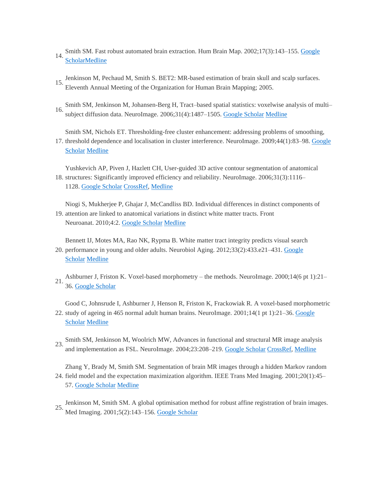- 14. Smith SM. Fast robust automated brain extraction. Hum Brain Map. 2002;17(3):143-155. Google **[Scholar](http://scholar.google.com/scholar_lookup?publication_year=2002&pages=143-155&issue=3&author=SM+Smith&title=Fast+robust+automated+brain+extraction&)[Medline](http://journals.sagepub.com/servlet/linkout?suffix=bibr14-1550059413476031&dbid=8&doi=10.1177%2F1550059413476031&key=12391568)**
- 15. Jenkinson M, Pechaud M, Smith S. BET2: MR-based estimation of brain skull and scalp surfaces. Eleventh Annual Meeting of the Organization for Human Brain Mapping; 2005.
- 16. Smith SM, Jenkinson M, Johansen-Berg H, Tract–based spatial statistics: voxelwise analysis of multi– subject diffusion data. NeuroImage. 2006;31(4):1487–1505. [Google Scholar](http://scholar.google.com/scholar_lookup?publication_year=2006&pages=1487&issue=4&author=SM+Smith&author=M+Jenkinson&author=H+Johansen-Berg&title=Tract%E2%80%93based+spatial+statistics:+voxelwise+analysis+of+multi%E2%80%93subject+diffusion+data&) [Medline](http://journals.sagepub.com/servlet/linkout?suffix=bibr16-1550059413476031&dbid=8&doi=10.1177%2F1550059413476031&key=16624579)

Smith SM, Nichols ET. Thresholding-free cluster enhancement: addressing problems of smoothing,

17. threshold dependence and localisation in cluster interference. NeuroImage. 2009;44(1):83–98. Google [Scholar](http://scholar.google.com/scholar_lookup?publication_year=2009&pages=83-98&issue=1&author=SM+Smith&author=ET+Nichols&title=Thresholding-free+cluster+enhancement:+addressing+problems+of+smoothing,+threshold+dependence+and+localisation+in+cluster+interference&) [Medline](http://journals.sagepub.com/servlet/linkout?suffix=bibr17-1550059413476031&dbid=8&doi=10.1177%2F1550059413476031&key=18501637)

18. structures: Significantly improved efficiency and reliability. NeuroImage. 2006;31(3):1116– Yushkevich AP, Piven J, Hazlett CH, User-guided 3D active contour segmentation of anatomical 1128. [Google Scholar](http://scholar.google.com/scholar_lookup?publication_year=2006&pages=1116-1128&issue=3&author=AP+Yushkevich&author=J+Piven&author=CH+Hazlett&title=User-guided+3D+active+contour+segmentation+of+anatomical+structures:+Significantly+improved+efficiency+and+reliability&) [CrossRef,](http://journals.sagepub.com/servlet/linkout?suffix=bibr18-1550059413476031&dbid=16&doi=10.1177%2F1550059413476031&key=10.1016%2Fj.neuroimage.2006.01.015) [Medline](http://journals.sagepub.com/servlet/linkout?suffix=bibr18-1550059413476031&dbid=8&doi=10.1177%2F1550059413476031&key=16545965)

19. attention are linked to anatomical variations in distinct white matter tracts. Front Niogi S, Mukherjee P, Ghajar J, McCandliss BD. Individual differences in distinct components of Neuroanat. 2010;4:2. [Google Scholar](http://scholar.google.com/scholar_lookup?publication_year=2010&pages=2&author=S+Niogi&author=P+Mukherjee&author=J+Ghajar&author=BD+McCandliss&title=Individual+differences+in+distinct+components+of+attention+are+linked+to+anatomical+variations+in+distinct+white+matter+tracts&) [Medline](http://journals.sagepub.com/servlet/linkout?suffix=bibr19-1550059413476031&dbid=8&doi=10.1177%2F1550059413476031&key=20204143)

20. performance in young and older adults. Neurobiol Aging. 2012;33(2):433.e21-431. Google Bennett IJ, Motes MA, Rao NK, Rypma B. White matter tract integrity predicts visual search

[Scholar](http://scholar.google.com/scholar_lookup?publication_year=2012&pages=e21-431&issue=2&author=IJ+Bennett&author=MA+Motes&author=NK+Rao&author=B.+Rypma&title=White+matter+tract+integrity+predicts+visual+search+performance+in+young+and+older+adults&) [Medline](http://journals.sagepub.com/servlet/linkout?suffix=bibr20-1550059413476031&dbid=8&doi=10.1177%2F1550059413476031&key=20363050)

 $21.$  36. [Google Scholar](http://scholar.google.com/scholar_lookup?publication_year=2000&pages=21-36&issue=6+pt+1&author=J+Ashburner&author=K+Friston&title=Voxel-based+morphometry+%E2%80%93+the+methods&) Ashburner J, Friston K. Voxel-based morphometry – the methods. NeuroImage. 2000;14(6 pt 1):21–

22. study of ageing in 465 normal adult human brains. NeuroImage. 2001;14(1 pt 1):21–36. Google Good C, Johnsrude I, Ashburner J, Henson R, Friston K, Frackowiak R. A voxel-based morphometric [Scholar](http://scholar.google.com/scholar_lookup?publication_year=2001&pages=21-36&issue=1+pt+1&author=C+Good&author=I+Johnsrude&author=J+Ashburner&author=R+Henson&author=K+Friston&author=R+Frackowiak&title=A+voxel-based+morphometric+study+of+ageing+in+465+normal+adult+human+brains&) [Medline](http://journals.sagepub.com/servlet/linkout?suffix=bibr22-1550059413476031&dbid=8&doi=10.1177%2F1550059413476031&key=11525331)

23. Smith SM, Jenkinson M, Woolrich MW, Advances in functional and structural MR image analysis 23. and implementation as FSL. NeuroImage. 2004;23:208–219. [Google Scholar](http://scholar.google.com/scholar_lookup?publication_year=2004&pages=208-219&author=SM+Smith&author=M+Jenkinson&author=MW+Woolrich&title=Advances+in+functional+and+structural+MR+image+analysis+and+implementation+as+FSL&) [CrossRef,](http://journals.sagepub.com/servlet/linkout?suffix=bibr23-1550059413476031&dbid=16&doi=10.1177%2F1550059413476031&key=10.1016%2Fj.neuroimage.2004.07.051) [Medline](http://journals.sagepub.com/servlet/linkout?suffix=bibr23-1550059413476031&dbid=8&doi=10.1177%2F1550059413476031&key=15501092)

24. field model and the expectation maximization algorithm. IEEE Trans Med Imaging. 2001;20(1):45– Zhang Y, Brady M, Smith SM. Segmentation of brain MR images through a hidden Markov random 57. [Google Scholar](http://scholar.google.com/scholar_lookup?publication_year=2001&pages=45-57&issue=1&author=Y+Zhang&author=M+Brady&author=SM+Smith&title=Segmentation+of+brain+MR+images+through+a+hidden+Markov+random+field+model+and+the+expectation+maximization+algorithm&) [Medline](http://journals.sagepub.com/servlet/linkout?suffix=bibr24-1550059413476031&dbid=8&doi=10.1177%2F1550059413476031&key=11293691)

25. Jenkinson M, Smith SM. A global optimisation method for robust affine registration of brain images. Med Imaging. 2001;5(2):143–156. [Google Scholar](http://scholar.google.com/scholar_lookup?publication_year=2001&pages=143-156&issue=2&author=M+Jenkinson&author=SM+Smith&title=A+global+optimisation+method+for+robust+affine+registration+of+brain+images&)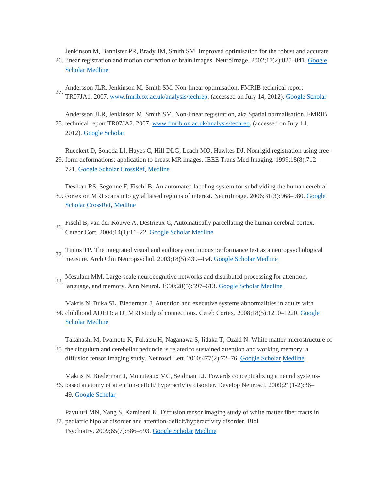26. linear registration and motion correction of brain images. NeuroImage. 2002;17(2):825–841. Google Jenkinson M, Bannister PR, Brady JM, Smith SM. Improved optimisation for the robust and accurate

- [Scholar](http://scholar.google.com/scholar_lookup?publication_year=2002&pages=825-841&issue=2&author=M+Jenkinson&author=PR+Bannister&author=JM+Brady&author=SM+Smith&title=Improved+optimisation+for+the+robust+and+accurate+linear+registration+and+motion+correction+of+brain+images&) [Medline](http://journals.sagepub.com/servlet/linkout?suffix=bibr26-1550059413476031&dbid=8&doi=10.1177%2F1550059413476031&key=12377157)
- 27. Andersson JLR, Jenkinson M, Smith SM. Non-linear optimisation. FMRIB technical report TR07JA1. 2007. [www.fmrib.ox.ac.uk/analysis/techrep.](http://www.fmrib.ox.ac.uk/analysis/techrep) (accessed on July 14, 2012). [Google Scholar](http://scholar.google.com/scholar_lookup?publication_year=2007&pages=825-841&issue=2&author=JLR+Andersson&author=M+Jenkinson&author=SM.+Smith&title=Non-linear+optimisation.+FMRIB+technical+report+TR07JA1&)
- 28. technical report TR07JA2. 2007. [www.fmrib.ox.ac.uk/analysis/techrep.](http://www.fmrib.ox.ac.uk/analysis/techrep) (accessed on July 14, Andersson JLR, Jenkinson M, Smith SM. Non-linear registration, aka Spatial normalisation. FMRIB 2012). [Google Scholar](http://scholar.google.com/scholar_lookup?publication_year=2007&pages=825-841&issue=2&author=JLR+Andersson&author=M+Jenkinson&author=SM+Smith&title=Non-linear+registration,+aka+Spatial+normalisation&)

29. form deformations: application to breast MR images. IEEE Trans Med Imaging. 1999;18(8):712– Rueckert D, Sonoda LI, Hayes C, Hill DLG, Leach MO, Hawkes DJ. Nonrigid registration using free-721. [Google Scholar](http://scholar.google.com/scholar_lookup?publication_year=1999&pages=712-721&issue=8&author=D+Rueckert&author=LI+Sonoda&author=C+Hayes&author=DLG+Hill&author=MO+Leach&author=DJ+Hawkes&title=Nonrigid+registration+using+free-form+deformations:+application+to+breast+MR+images&) [CrossRef,](http://journals.sagepub.com/servlet/linkout?suffix=bibr29-1550059413476031&dbid=16&doi=10.1177%2F1550059413476031&key=10.1109%2F42.796284) [Medline](http://journals.sagepub.com/servlet/linkout?suffix=bibr29-1550059413476031&dbid=8&doi=10.1177%2F1550059413476031&key=10534053)

30. cortex on MRI scans into gyral based regions of interest. NeuroImage. 2006;31(3):968–980. Google Desikan RS, Segonne F, Fischl B, An automated labeling system for subdividing the human cerebral [Scholar](http://scholar.google.com/scholar_lookup?publication_year=2006&pages=968-980&issue=3&author=RS+Desikan&author=F+Segonne&author=B+Fischl&title=An+automated+labeling+system+for+subdividing+the+human+cerebral+cortex+on+MRI+scans+into+gyral+based+regions+of+interest&) [CrossRef,](http://journals.sagepub.com/servlet/linkout?suffix=bibr30-1550059413476031&dbid=16&doi=10.1177%2F1550059413476031&key=10.1016%2Fj.neuroimage.2006.01.021) [Medline](http://journals.sagepub.com/servlet/linkout?suffix=bibr30-1550059413476031&dbid=8&doi=10.1177%2F1550059413476031&key=16530430)

- 31. Fischl B, van der Kouwe A, Destrieux C, Automatically parcellating the human cerebral cortex. Cerebr Cort. 2004;14(1):11–22. [Google Scholar](http://scholar.google.com/scholar_lookup?publication_year=2004&pages=11-22&issue=1&author=B+Fischl&author=A+van+der+Kouwe&author=C+Destrieux&title=Automatically+parcellating+the+human+cerebral+cortex&) [Medline](http://journals.sagepub.com/servlet/linkout?suffix=bibr31-1550059413476031&dbid=8&doi=10.1177%2F1550059413476031&key=14654453)
- 32. Tinius TP. The integrated visual and auditory continuous performance test as a neuropsychological measure. Arch Clin Neuropsychol. 2003;18(5):439–454. [Google Scholar](http://scholar.google.com/scholar_lookup?publication_year=2003&pages=439-454&issue=5&author=TP+Tinius&title=The+integrated+visual+and+auditory+continuous+performance+test+as+a+neuropsychological+measure&) [Medline](http://journals.sagepub.com/servlet/linkout?suffix=bibr32-1550059413476031&dbid=8&doi=10.1177%2F1550059413476031&key=14591441)
- 33. Mesulam MM. Large-scale neurocognitive networks and distributed processing for attention, language, and memory. Ann Neurol. 1990;28(5):597–613. [Google Scholar](http://scholar.google.com/scholar_lookup?publication_year=1990&pages=597-613&issue=5&author=MM+Mesulam&title=Large-scale+neurocognitive+networks+and+distributed+processing+for+attention,+language,+and+memory&) [Medline](http://journals.sagepub.com/servlet/linkout?suffix=bibr33-1550059413476031&dbid=8&doi=10.1177%2F1550059413476031&key=2260847)

34. childhood ADHD: a DTMRI study of connections. Cereb Cortex. 2008;18(5):1210-1220. Google Makris N, Buka SL, Biederman J, Attention and executive systems abnormalities in adults with [Scholar](http://scholar.google.com/scholar_lookup?publication_year=2008&pages=1210-1220&issue=5&author=N+Makris&author=SL+Buka&author=J+Biederman&title=Attention+and+executive+systems+abnormalities+in+adults+with+childhood+ADHD:+a+DTMRI+study+of+connections&) [Medline](http://journals.sagepub.com/servlet/linkout?suffix=bibr34-1550059413476031&dbid=8&doi=10.1177%2F1550059413476031&key=17906338)

Takahashi M, Iwamoto K, Fukatsu H, Naganawa S, Iidaka T, Ozaki N. White matter microstructure of

35. the cingulum and cerebellar peduncle is related to sustained attention and working memory: a diffusion tensor imaging study. Neurosci Lett. 2010;477(2):72–76. [Google Scholar](http://scholar.google.com/scholar_lookup?publication_year=2010&pages=72-76&issue=2&author=M+Takahashi&author=K+Iwamoto&author=H+Fukatsu&author=S+Naganawa&author=T+Iidaka&author=N+Ozaki&title=White+matter+microstructure+of+the+cingulum+and+cerebellar+peduncle+is+related+to+sustained+attention+and+working+memory:+a+diffusion+tensor+imaging+study&) [Medline](http://journals.sagepub.com/servlet/linkout?suffix=bibr35-1550059413476031&dbid=8&doi=10.1177%2F1550059413476031&key=20416360)

Makris N, Biederman J, Monuteaux MC, Seidman LJ. Towards conceptualizing a neural systems-

36. based anatomy of attention-deficit/ hyperactivity disorder. Develop Neurosci. 2009;21(1-2):36– 49. [Google Scholar](http://scholar.google.com/scholar_lookup?publication_year=2009&pages=36-49&issue=1-2&author=N+Makris&author=J+Biederman&author=MC+Monuteaux&author=LJ+Seidman&title=Towards+conceptualizing+a+neural+systems-based+anatomy+of+attention-deficit/+hyperactivity+disorder&)

37. pediatric bipolar disorder and attention-deficit/hyperactivity disorder. Biol Pavuluri MN, Yang S, Kamineni K, Diffusion tensor imaging study of white matter fiber tracts in

Psychiatry. 2009;65(7):586–593. [Google Scholar](http://scholar.google.com/scholar_lookup?publication_year=2009&pages=586-593&issue=7&author=MN+Pavuluri&author=S+Yang&author=K+Kamineni&title=Diffusion+tensor+imaging+study+of+white+matter+fiber+tracts+in+pediatric+bipolar+disorder+and+attention-deficit/hyperactivity+disorder&) [Medline](http://journals.sagepub.com/servlet/linkout?suffix=bibr37-1550059413476031&dbid=8&doi=10.1177%2F1550059413476031&key=19027102)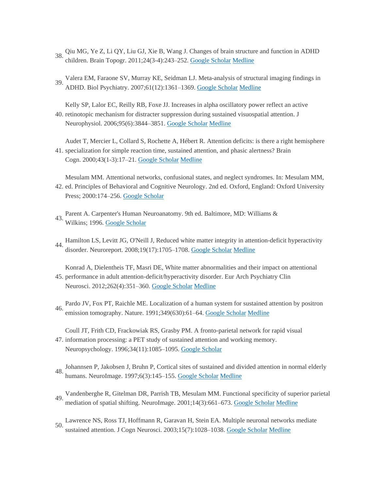- Qiu MG, Ye Z, Li QY, Liu GJ, Xie B, Wang J. Changes of brain structure and function in ADHD<br>38.  $\frac{1}{2}$ children. Brain Topogr. 2011;24(3-4):243–252. [Google Scholar](http://scholar.google.com/scholar_lookup?publication_year=2011&pages=243-252&issue=3-4&author=MG+Qiu&author=Z+Ye&author=QY+Li&author=GJ+Liu&author=B+Xie&author=J+Wang&title=Changes+of+brain+structure+and+function+in+ADHD+children&) [Medline](http://journals.sagepub.com/servlet/linkout?suffix=bibr38-1550059413476031&dbid=8&doi=10.1177%2F1550059413476031&key=21191807)
- 39. Valera EM, Faraone SV, Murray KE, Seidman LJ. Meta-analysis of structural imaging findings in ADHD. Biol Psychiatry. 2007;61(12):1361–1369. [Google Scholar](http://scholar.google.com/scholar_lookup?publication_year=2007&pages=1361-1369&issue=12&author=EM+Valera&author=SV+Faraone&author=KE+Murray&author=LJ+Seidman&title=Meta-analysis+of+structural+imaging+findings+in+ADHD&) [Medline](http://journals.sagepub.com/servlet/linkout?suffix=bibr39-1550059413476031&dbid=8&doi=10.1177%2F1550059413476031&key=16950217)
- 40. retinotopic mechanism for distracter suppression during sustained visuospatial attention. J Kelly SP, Lalor EC, Reilly RB, Foxe JJ. Increases in alpha oscillatory power reflect an active Neurophysiol. 2006;95(6):3844–3851. [Google Scholar](http://scholar.google.com/scholar_lookup?publication_year=2006&pages=3844-3851&issue=6&author=SP+Kelly&author=EC+Lalor&author=RB+Reilly&author=JJ+Foxe&title=Increases+in+alpha+oscillatory+power+reflect+an+active+retinotopic+mechanism+for+distracter+suppression+during+sustained+visuospatial+attention&) [Medline](http://journals.sagepub.com/servlet/linkout?suffix=bibr40-1550059413476031&dbid=8&doi=10.1177%2F1550059413476031&key=16571739)

41. specialization for simple reaction time, sustained attention, and phasic alertness? Brain Audet T, Mercier L, Collard S, Rochette A, Hébert R. Attention deficits: is there a right hemisphere Cogn. 2000;43(1-3):17–21. [Google Scholar](http://scholar.google.com/scholar_lookup?publication_year=2000&pages=17-21&issue=1-3&author=T+Audet&author=L+Mercier&author=S+Collard&author=A+Rochette&author=R+H%C3%A9bert&title=Attention+deficits:+is+there+a+right+hemisphere+specialization+for+simple+reaction+time,+sustained+attention,+and+phasic+alertness?&) [Medline](http://journals.sagepub.com/servlet/linkout?suffix=bibr41-1550059413476031&dbid=8&doi=10.1177%2F1550059413476031&key=10857655)

42. ed. Principles of Behavioral and Cognitive Neurology. 2nd ed. Oxford, England: Oxford University Mesulam MM. Attentional networks, confusional states, and neglect syndromes. In: Mesulam MM, Press; 2000:174–256. [Google Scholar](http://scholar.google.com/scholar_lookup?publication_year=2000&pages=174-256&issue=1-3&author=MM+Mesulamauthor=MM+Mesulam&title=Principles+of+Behavioral+and+Cognitive+Neurology&)

- Parent A. Carpenter's Human Neuroanatomy. 9th ed. Baltimore, MD: Williams & 43. Wilkins; 1996. [Google Scholar](http://scholar.google.com/scholar_lookup?publication_year=1996&issue=1-3&author=A+Parent&title=Carpenter%27s+Human+Neuroanatomy&)
- 44. Hamilton LS, Levitt JG, O'Neill J, Reduced white matter integrity in attention-deficit hyperactivity disorder. Neuroreport. 2008;19(17):1705-1708. [Google Scholar](http://scholar.google.com/scholar_lookup?publication_year=2008&pages=1705-1708&issue=17&author=LS+Hamilton&author=JG+Levitt&author=J+O%27Neill&title=Reduced+white+matter+integrity+in+attention-deficit+hyperactivity+disorder&) [Medline](http://journals.sagepub.com/servlet/linkout?suffix=bibr44-1550059413476031&dbid=8&doi=10.1177%2F1550059413476031&key=18841089)
- 45. performance in adult attention-deficit/hyperactivity disorder. Eur Arch Psychiatry Clin Konrad A, Dielentheis TF, Masri DE, White matter abnormalities and their impact on attentional Neurosci. 2012;262(4):351–360. [Google Scholar](http://scholar.google.com/scholar_lookup?publication_year=2012&pages=351-360&issue=4&author=A+Konrad&author=TF+Dielentheis&author=DE+Masri&title=White+matter+abnormalities+and+their+impact+on+attentional+performance+in+adult+attention-deficit/hyperactivity+disorder&) [Medline](http://journals.sagepub.com/servlet/linkout?suffix=bibr45-1550059413476031&dbid=8&doi=10.1177%2F1550059413476031&key=21879383)
- 46. Pardo JV, Fox PT, Raichle ME. Localization of a human system for sustained attention by positron emission tomography. Nature. 1991;349(630):61–64. [Google Scholar](http://scholar.google.com/scholar_lookup?publication_year=1991&pages=61-64&issue=630&author=JV+Pardo&author=PT+Fox&author=ME+Raichle&title=Localization+of+a+human+system+for+sustained+attention+by+positron+emission+tomography&) [Medline](http://journals.sagepub.com/servlet/linkout?suffix=bibr46-1550059413476031&dbid=8&doi=10.1177%2F1550059413476031&key=1985266)

Coull JT, Frith CD, Frackowiak RS, Grasby PM. A fronto-parietal network for rapid visual

- 47. information processing: a PET study of sustained attention and working memory. Neuropsychology. 1996;34(11):1085–1095. [Google Scholar](http://scholar.google.com/scholar_lookup?publication_year=1996&pages=1085-1095&issue=11&author=JT+Coull&author=CD+Frith&author=RS+Frackowiak&author=PM+Grasby&title=A+fronto-parietal+network+for+rapid+visual+information+processing:+a+PET+study+of+sustained+attention+and+working+memory&)
- 48. Johannsen P, Jakobsen J, Bruhn P, Cortical sites of sustained and divided attention in normal elderly humans. NeuroImage. 1997;6(3):145–155. [Google Scholar](http://scholar.google.com/scholar_lookup?publication_year=1997&pages=145-155&issue=3&author=P+Johannsen&author=J+Jakobsen&author=P+Bruhn&title=Cortical+sites+of+sustained+and+divided+attention+in+normal+elderly+humans&) [Medline](http://journals.sagepub.com/servlet/linkout?suffix=bibr48-1550059413476031&dbid=8&doi=10.1177%2F1550059413476031&key=9344819)
- 49. Vandenberghe R, Gitelman DR, Parrish TB, Mesulam MM. Functional specificity of superior parietal mediation of spatial shifting. NeuroImage. 2001;14(3):661–673. [Google Scholar](http://scholar.google.com/scholar_lookup?publication_year=2001&pages=661-673&issue=3&author=R+Vandenberghe&author=DR+Gitelman&author=TB+Parrish&author=MM+Mesulam&title=Functional+specificity+of+superior+parietal+mediation+of+spatial+shifting&) [Medline](http://journals.sagepub.com/servlet/linkout?suffix=bibr49-1550059413476031&dbid=8&doi=10.1177%2F1550059413476031&key=11506539)
- 50. Lawrence NS, Ross TJ, Hoffmann R, Garavan H, Stein EA. Multiple neuronal networks mediate sustained attention. J Cogn Neurosci. 2003;15(7):1028–1038. [Google Scholar](http://scholar.google.com/scholar_lookup?publication_year=2003&pages=1028-1038&issue=7&author=NS+Lawrence&author=TJ+Ross&author=R+Hoffmann&author=H+Garavan&author=EA+Stein&title=Multiple+neuronal+networks+mediate+sustained+attention&) [Medline](http://journals.sagepub.com/servlet/linkout?suffix=bibr50-1550059413476031&dbid=8&doi=10.1177%2F1550059413476031&key=14614813)